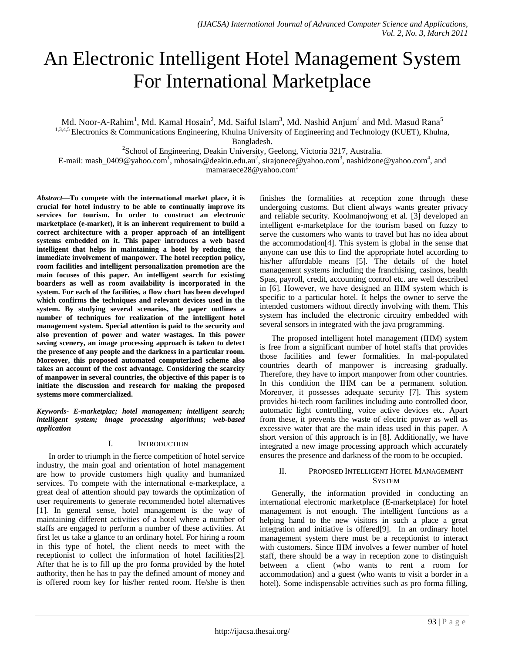# An Electronic Intelligent Hotel Management System For International Marketplace

Md. Noor-A-Rahim<sup>1</sup>, Md. Kamal Hosain<sup>2</sup>, Md. Saiful Islam<sup>3</sup>, Md. Nashid Anjum<sup>4</sup> and Md. Masud Rana<sup>5</sup> <sup>1,3,4,5</sup> Electronics & Communications Engineering, Khulna University of Engineering and Technology (KUET), Khulna,

Bangladesh.

<sup>2</sup>School of Engineering, Deakin University, Geelong, Victoria 3217, Australia.

E-mail: [mash\\_0409@yahoo.com](mailto:mash_0409@yahoo.com1)<sup>1</sup>, mhosai[n@deakin.edu.](mailto:msi@deakin.edu)au<sup>2</sup>, [sirajonece@yahoo.com](mailto:sirajonece@yahoo.com3)<sup>3</sup>, [nashidzone@yahoo.com](mailto:nashidzone@yahoo.com4)<sup>4</sup>, and mamaraece28@yahoo.com<sup>5</sup>

*Abstract***—To compete with the international market place, it is crucial for hotel industry to be able to continually improve its services for tourism. In order to construct an electronic marketplace (e-market), it is an inherent requirement to build a correct architecture with a proper approach of an intelligent systems embedded on it. This paper introduces a web based intelligent that helps in maintaining a hotel by reducing the immediate involvement of manpower. The hotel reception policy, room facilities and intelligent personalization promotion are the main focuses of this paper. An intelligent search for existing boarders as well as room availability is incorporated in the system. For each of the facilities, a flow chart has been developed which confirms the techniques and relevant devices used in the system. By studying several scenarios, the paper outlines a number of techniques for realization of the intelligent hotel management system. Special attention is paid to the security and also prevention of power and water wastages. In this power saving scenery, an image processing approach is taken to detect the presence of any people and the darkness in a particular room. Moreover, this proposed automated computerized scheme also takes an account of the cost advantage. Considering the scarcity of manpower in several countries, the objective of this paper is to initiate the discussion and research for making the proposed systems more commercialized.**

*Keywords- E-marketplac; hotel managemen; intelligent search; intelligent system; image processing algorithms; web-based application*

# I. INTRODUCTION

In order to triumph in the fierce competition of hotel service industry, the main goal and orientation of hotel management are how to provide customers high quality and humanized services. To compete with the international e-marketplace, a great deal of attention should pay towards the optimization of user requirements to generate recommended hotel alternatives [\[1\]](#page-5-0). In general sense, hotel management is the way of maintaining different activities of a hotel where a number of staffs are engaged to perform a number of these activities. At first let us take a glance to an ordinary hotel. For hiring a room in this type of hotel, the client needs to meet with the receptionist to collect the information of hotel facilities[\[2\]](#page-5-1). After that he is to fill up the pro forma provided by the hotel authority, then he has to pay the defined amount of money and is offered room key for his/her rented room. He/she is then

finishes the formalities at reception zone through these undergoing customs. But client always wants greater privacy and reliable security. Koolmanojwong et al. [\[3\]](#page-5-2) developed an intelligent e-marketplace for the tourism based on fuzzy to serve the customers who wants to travel but has no idea about the accommodation[\[4\]](#page-5-3). This system is global in the sense that anyone can use this to find the appropriate hotel according to his/her affordable means [\[5\]](#page-5-4). The details of the hotel management systems including the franchising, casinos, health Spas, payroll, credit, accounting control etc. are well described in [\[6\]](#page-5-5). However, we have designed an IHM system which is specific to a particular hotel. It helps the owner to serve the intended customers without directly involving with them. This system has included the electronic circuitry embedded with several sensors in integrated with the java programming.

The proposed intelligent hotel management (IHM) system is free from a significant number of hotel staffs that provides those facilities and fewer formalities. In mal-populated countries dearth of manpower is increasing gradually. Therefore, they have to import manpower from other countries. In this condition the IHM can be a permanent solution. Moreover, it possesses adequate security [\[7\]](#page-5-6). This system provides hi-tech room facilities including auto controlled door, automatic light controlling, voice active devices etc. Apart from these, it prevents the waste of electric power as well as excessive water that are the main ideas used in this paper. A short version of this approach is in [\[8\]](#page-5-7). Additionally, we have integrated a new image processing approach which accurately ensures the presence and darkness of the room to be occupied.

# II. PROPOSED INTELLIGENT HOTEL MANAGEMENT **SYSTEM**

Generally, the information provided in conducting an international electronic marketplace (E-marketplace) for hotel management is not enough. The intelligent functions as a helping hand to the new visitors in such a place a great integration and initiative is offered[\[9\]](#page-5-8). In an ordinary hotel management system there must be a receptionist to interact with customers. Since IHM involves a fewer number of hotel staff, there should be a way in reception zone to distinguish between a client (who wants to rent a room for accommodation) and a guest (who wants to visit a border in a hotel). Some indispensable activities such as pro forma filling,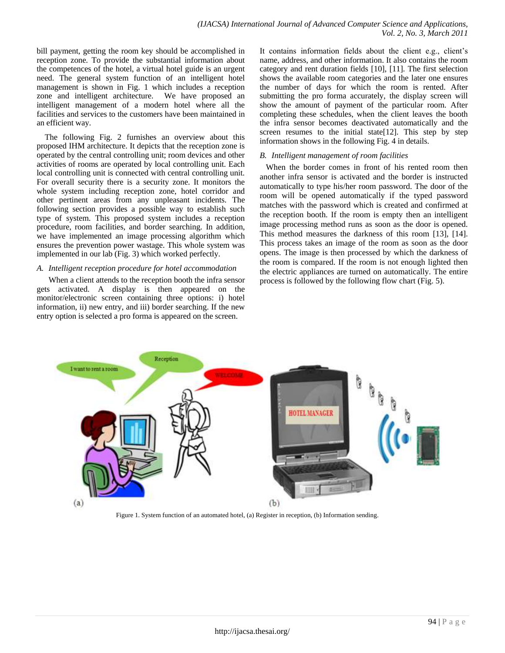bill payment, getting the room key should be accomplished in reception zone. To provide the substantial information about the competences of the hotel, a virtual hotel guide is an urgent need. The general system function of an intelligent hotel management is shown in Fig. 1 which includes a reception zone and intelligent architecture. We have proposed an intelligent management of a modern hotel where all the facilities and services to the customers have been maintained in an efficient way.

 The following Fig. 2 furnishes an overview about this proposed IHM architecture. It depicts that the reception zone is operated by the central controlling unit; room devices and other activities of rooms are operated by local controlling unit. Each local controlling unit is connected with central controlling unit. For overall security there is a security zone. It monitors the whole system including reception zone, hotel corridor and other pertinent areas from any unpleasant incidents. The following section provides a possible way to establish such type of system. This proposed system includes a reception procedure, room facilities, and border searching. In addition, we have implemented an image processing algorithm which ensures the prevention power wastage. This whole system was implemented in our lab (Fig. 3) which worked perfectly.

# *A. Intelligent reception procedure for hotel accommodation*

When a client attends to the reception booth the infra sensor gets activated. A display is then appeared on the monitor/electronic screen containing three options: i) hotel information, ii) new entry, and iii) border searching. If the new entry option is selected a pro forma is appeared on the screen.

It contains information fields about the client e.g., client's name, address, and other information. It also contains the room category and rent duration fields [\[10\]](#page-5-9), [\[11\]](#page-5-10). The first selection shows the available room categories and the later one ensures the number of days for which the room is rented. After submitting the pro forma accurately, the display screen will show the amount of payment of the particular room. After completing these schedules, when the client leaves the booth the infra sensor becomes deactivated automatically and the screen resumes to the initial state[\[12\]](#page-5-11). This step by step information shows in the following Fig. 4 in details.

# *B. Intelligent management of room facilities*

 When the border comes in front of his rented room then another infra sensor is activated and the border is instructed automatically to type his/her room password. The door of the room will be opened automatically if the typed password matches with the password which is created and confirmed at the reception booth. If the room is empty then an intelligent image processing method runs as soon as the door is opened. This method measures the darkness of this room [\[13\]](#page-5-12), [\[14\]](#page-5-13). This process takes an image of the room as soon as the door opens. The image is then processed by which the darkness of the room is compared. If the room is not enough lighted then the electric appliances are turned on automatically. The entire process is followed by the following flow chart (Fig. 5).



Figure 1. System function of an automated hotel, (a) Register in reception, (b) Information sending.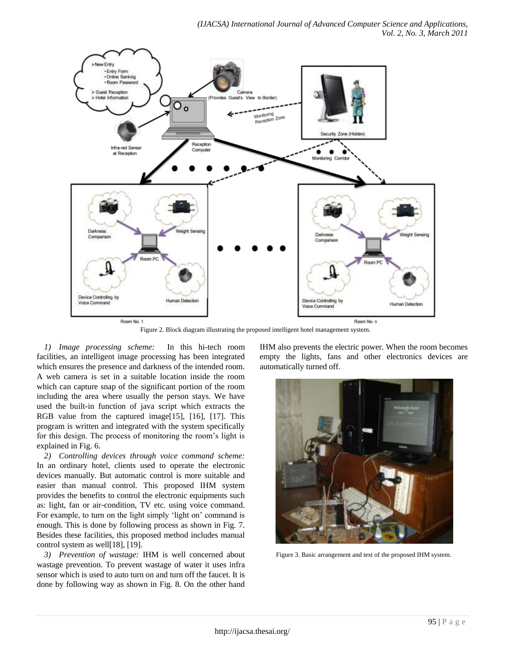

Figure 2. Block diagram illustrating the proposed intelligent hotel management system.

*1) Image processing scheme:* In this hi-tech room facilities, an intelligent image processing has been integrated which ensures the presence and darkness of the intended room. A web camera is set in a suitable location inside the room which can capture snap of the significant portion of the room including the area where usually the person stays. We have used the built-in function of java script which extracts the RGB value from the captured image[\[15\]](#page-5-14), [\[16\]](#page-5-15), [\[17\]](#page-5-16). This program is written and integrated with the system specifically for this design. The process of monitoring the room's light is explained in Fig. 6.

*2) Controlling devices through voice command scheme:*  In an ordinary hotel, clients used to operate the electronic devices manually. But automatic control is more suitable and easier than manual control. This proposed IHM system provides the benefits to control the electronic equipments such as: light, fan or air-condition, TV etc. using voice command. For example, to turn on the light simply 'light on' command is enough. This is done by following process as shown in Fig. 7. Besides these facilities, this proposed method includes manual control system as well[\[18\]](#page-5-17), [\[19\]](#page-5-18).

*3) Prevention of wastage:* IHM is well concerned about wastage prevention. To prevent wastage of water it uses infra sensor which is used to auto turn on and turn off the faucet. It is done by following way as shown in Fig. 8. On the other hand IHM also prevents the electric power. When the room becomes empty the lights, fans and other electronics devices are automatically turned off.



Figure 3. Basic arrangement and test of the proposed IHM system.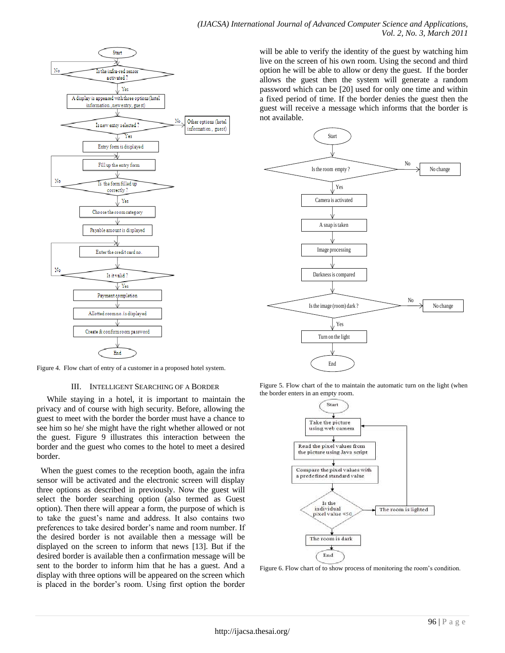

will be able to verify the identity of the guest by watching him live on the screen of his own room. Using the second and third option he will be able to allow or deny the guest. If the border allows the guest then the system will generate a random password which can be [\[20\]](#page-5-19) used for only one time and within a fixed period of time. If the border denies the guest then the guest will receive a message which informs that the border is not available.



Figure 4. Flow chart of entry of a customer in a proposed hotel system.

#### III. INTELLIGENT SEARCHING OF A BORDER

 While staying in a hotel, it is important to maintain the privacy and of course with high security. Before, allowing the guest to meet with the border the border must have a chance to see him so he/ she might have the right whether allowed or not the guest. Figure 9 illustrates this interaction between the border and the guest who comes to the hotel to meet a desired border.

When the guest comes to the reception booth, again the infra sensor will be activated and the electronic screen will display three options as described in previously. Now the guest will select the border searching option (also termed as Guest option). Then there will appear a form, the purpose of which is to take the guest's name and address. It also contains two preferences to take desired border's name and room number. If the desired border is not available then a message will be displayed on the screen to inform that news [\[13\]](#page-5-12). But if the desired border is available then a confirmation message will be sent to the border to inform him that he has a guest. And a display with three options will be appeared on the screen which is placed in the border's room. Using first option the border

Figure 5. Flow chart of the to maintain the automatic turn on the light (when the border enters in an empty room.



Figure 6. Flow chart of to show process of monitoring the room's condition.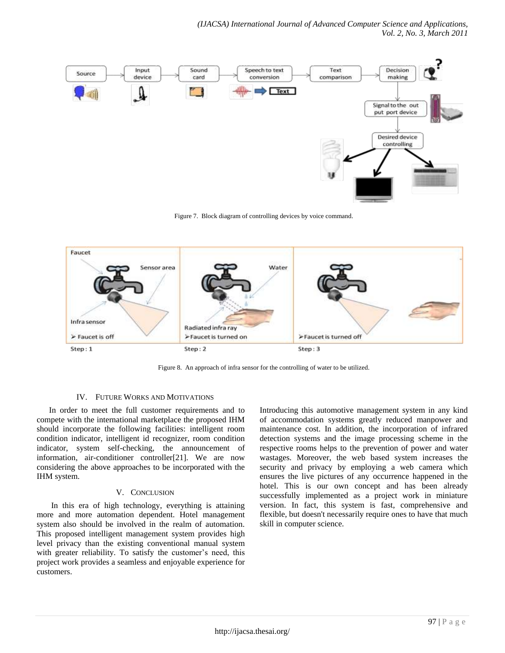

Figure 7. Block diagram of controlling devices by voice command.



Figure 8. An approach of infra sensor for the controlling of water to be utilized.

# IV. FUTURE WORKS AND MOTIVATIONS

 In order to meet the full customer requirements and to compete with the international marketplace the proposed IHM should incorporate the following facilities: intelligent room condition indicator, intelligent id recognizer, room condition indicator, system self-checking, the announcement of information, air-conditioner controller[\[21\]](#page-5-20). We are now considering the above approaches to be incorporated with the IHM system.

# V. CONCLUSION

 In this era of high technology, everything is attaining more and more automation dependent. Hotel management system also should be involved in the realm of automation. This proposed intelligent management system provides high level privacy than the existing conventional manual system with greater reliability. To satisfy the customer's need, this project work provides a seamless and enjoyable experience for customers.

Introducing this automotive management system in any kind of accommodation systems greatly reduced manpower and maintenance cost. In addition, the incorporation of infrared detection systems and the image processing scheme in the respective rooms helps to the prevention of power and water wastages. Moreover, the web based system increases the security and privacy by employing a web camera which ensures the live pictures of any occurrence happened in the hotel. This is our own concept and has been already successfully implemented as a project work in miniature version. In fact, this system is fast, comprehensive and flexible, but doesn't necessarily require ones to have that much skill in computer science.